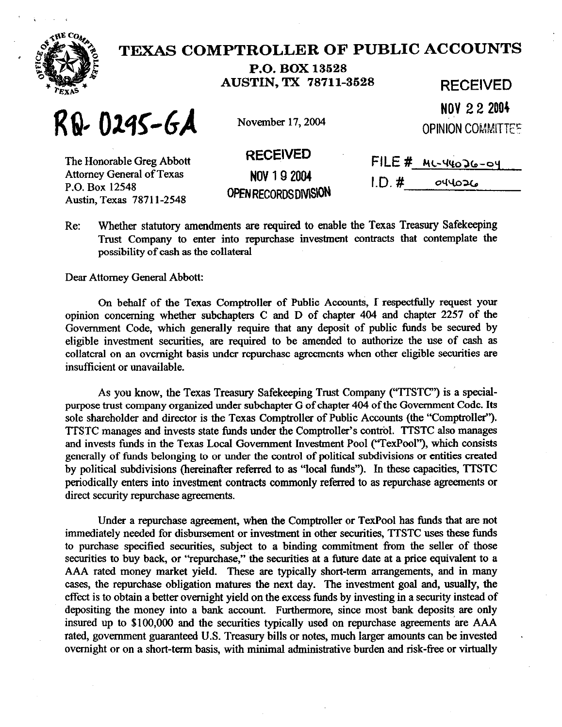

## **TEXAS COMPTROLLER OF PUBLIC ACCOUNTS**

**P.O. BOX 13628 AUSTIN, TX 78711-3628 RECEIVED** 

 $R_{1}$  **0245-6A** November 17, 2004

**NFy 2 2 2004 OPINION COMMITTEF** 

| The Honorable Greg Abbott        |
|----------------------------------|
| <b>Attorney General of Texas</b> |
| P.O. Box 12548                   |
| Austin, Texas 78711-2548         |

**NOV 192004 OPENRECORDSDMS\ON** 

| RECEIVED               | $FILE \#$ ML-44026-04 |  |
|------------------------|-----------------------|--|
| NOV 19 2004            | 1D.#<br>O(4026)       |  |
| <b>URPAARDARAMPIAN</b> |                       |  |

Re: Whether statutory amendments are required to enable the Texas Treasury Safekeeping Trust Company to enter into repurchase investment contracts that contemplate the possibility of cash as the collateral

Dear Attorney General Abbott:

On behalf of the Texas Comptroller of Public Accounts, 1 respectfully request your opinion concerning whether subchapters C and D of chapter 404 and chapter 2257 of the Govermnent Code, which generally require that any deposit of public funds be secured by eligible investment securities, are required to be amended to authorize the use of cash as collateral on an overnight basis under repurchase agreements when other eligible securities are insufficient or unavailable.

As you know, the Texas Treasury Safekeeping Trust Company ("TTSTC") is a specialpurpose trust company organized under subchapter G of chapter 404 of the Government Code. Its sole shareholder and director is the Texas Comptroller of Public Accounts (the "Comptroller"). 'ITSTC manages and invests state funds under the Comptroller's control. TTSTC also manages and invests funds in the Texas Local Government Investment Pool ("TexPool"), which consists generally of funds belonging to or under the control of political subdivisions or entities created by political subdivisions (hereinafter referred to as "local funds"). In these capacities, TTSTC periodically enters into investment contracts commonly referred to as repurchase agreements or direct security repurchase agreements.

Under a repurchase agreement, when the Comptroller or TexPool has funds that are not immediately needed for disbursement or investment in other securities, TTSTC uses these fimds to purchase specified securities, subject to a binding commitment from the seller of those securities to buy back, or "repurchase," the securities at a future date at a price equivalent to a AAA rated money market yield. These are typically short-term arrangements, and in many cases, the repurchase obligation matures the next day. The investment goal and, usually, the effect is to obtain a better overnight yield on the excess funds by investing in a security instead of depositing the money into a bank account. Furthermore, since most bank deposits are only insured up to \$100,000 and the securities typically used on repurchase agreements are AAA rated, government guaranteed U.S. Treasury bills or notes, much larger amounts can be invested overnight or on a short-term basis, with minimal administrative burden and risk-free or virtually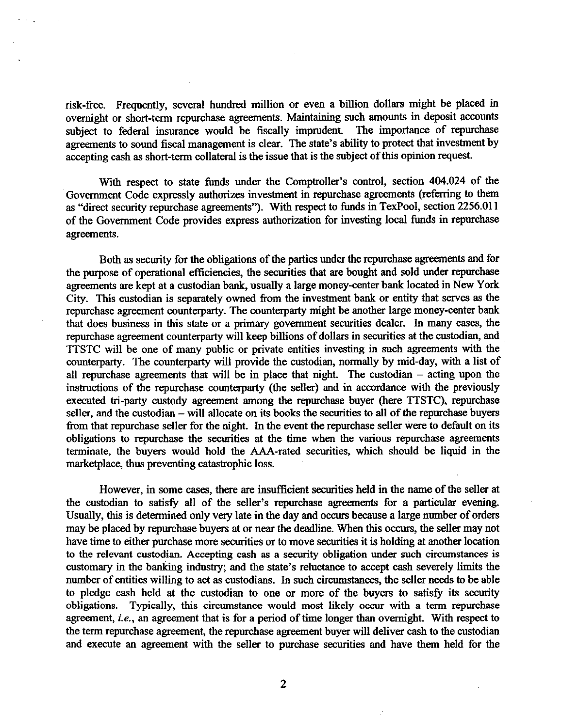risk-free. Frequently, several hundred million or even a billion dollars might be placed in overnight or short-term repurchase agreements. Maintaining such amounts in deposit accounts subject to federal insurance would be fiscally imprudent. The importance of repurchase agreements to sound fiscal management is clear. The state's ability to protect that investment by accenting cash as short-term collateral is the issue that is the subject of this opinion request.

With respect to state funds under the Comptroller's control, section 404.024 of the Government Code expressly authorizes investment in repurchase agreements (referring to them as "direct security repurchase agreements"). With respect to funds in TexPool, section 2256.011 of the Govermnent Code provides express authorization for investing local funds in repurchase agreements.

Both as security for the obligations of the parties under the repurchase agreements and for the purpose of operational efficiencies, the securities that are bought and sold under repurchase agreements are kept at a custodian bank, usually a large money-center bank located in New York City. This custodian is separately owned from the investment bank or entity that serves as the repurchase agreement counterparty. The counterparty might be another large money-center bank that does business in this state or a primary government securities dealer. In many cases, the repurchase agreement counterparty will keep billions of dollars in securities at the custodian, and 'M'STC will be one of many public or private entities investing in such agreements with the counterparty. The counterparty will provide the custodian, normally by mid-day, with a list of all repurchase agreements that will be in place that night. The custodian  $-$  acting upon the instructions of the repurchase counterparty (the seller) and in accordance with the previously executed tri-party custody agreement among the repurchase buyer (here TTSTC), repurchase seller, and the custodian - will allocate on its books the securities to all of the repurchase buyers from that repurchase seller for the night. In the event the repurchase seller were to default on its obligations to repurchase the securities at the time when the various repurchase agreements terminate, the buyers would hold the AAA-rated securities, which should be liquid in the marketplace, thus preventing catastrophic loss.

However, in some cases, there are insufficient securities held in the name of the seller at the custodian to satisfy all of the seller's repurchase agreements for a particular evening. Usually, this is determined only very late in the day and occurs because a large number of orders may be placed by repurchase buyers at or near the deadline. When this occurs, the seller may not have time to either purchase more securities or to move securities it is holding at another location<br>to the relevant custodian. Accepting cash as a security obligation under such circumstances is to the relevant custodian. Accepting cash as a security obligation under such circumstances is customary in the banking industry; and the state's reluctance to accept cash severely limits the number of entities willing to act as custodians. In such circumstances, the seller needs to be able to pledge cash held at the custodian to one or more of the buyers to satisfy its security obligations. Typically, this circumstance would most likely occur with a term repurchase agreement, *i.e., an* agreement that is for a period of time longer than overnight. With respect to the term repurchase agreement, the repurchase agreement buyer will deliver cash to the custodian and execute an agreement with the seller to purchase securities and have them held for the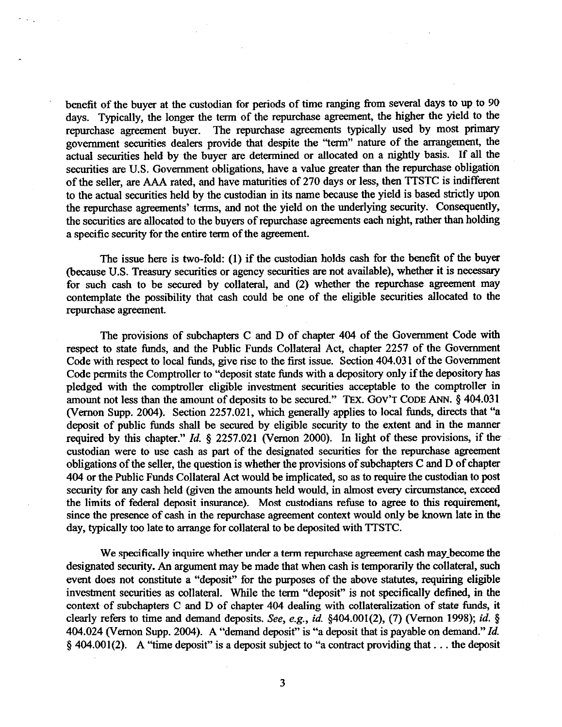benefit of the buyer at the custodian for periods of time ranging from several days to up to *90*  days. Typically, the longer the term of the repurchase agreement, the higher the yield to the repurchase agreement buyer. The repurchase agreements typically used by most primary The repurchase agreements typically used by most primary government securities dealers provide that despite the "term" nature of the arrangement, the actual securities held by the buyer are determined or allocated on a nightly basis. If all the securities are U.S. Government obligations, have a value greater than the repurchase obligation of the seller, are AAA rated, and have maturities of *270* days or less, then TTSTC is indifferent to the actual securities held by the custodian in its name because the yield is based strictly upon the repurchase agreements' terms, and not the yield on the underlying security. Consequently, the securities are allocated to the buyers of repurchase agreements each night, rather than holding a specific security for the entire term of the agreement.

The issue here is two-fold: (1) if the custodian holds cash for the benefit of the buyer (because U.S. Treasury securities or agency securities are not available), whether it is necessary for such cash to be secured by collateral, and (2) whether the repurchase agreement may contemplate the possibility that cash could be one of the eligible securities allocated to the repurchase agreement.

The provisions of subchapters C and D of chapter 404 of the Govermnent Code with respect to state funds, and the Public Funds Collateral Act, chapter 2257 of the Government Code with respect to local funds, give rise to the first issue. Section 404.03 1 of the Government Code permits the Comptroller to "deposit state funds with a depository only if the depository has pledged with the comptroller eligible investment securities acceptable to the comptroller in amount not less than the amount of deposits to be secured." TEX. GOV'T CODE ANN. § 404.031 (Vernon Supp. 2004). Section 2257.021, which generally applies to local funds, directs that "a deposit of public funds shall be secured by eligible security to the extent and in the manner required by this chapter." *Id.* 5 2257.021 (Vernon 2000). In light of these provisions, if the custodian were to use cash as part of the designated securities for the repurchase agreement obligations of the seller, the question is whether the provisions of subchapters C and D of chapter 404 or the Public Funds Collateral Act would be implicated, so as to require the custodian to post security for any cash held (given the amounts held would, in almost every circumstance, exceed the limits of federal deposit insurance). Most custodians refuse to agree to this requirement, since the presence of cash in the repurchase agreement context would only be known late in the day, typically too late to arrange for collateral to be deposited with TTSTC.

We specifically inquire whether under a term repurchase agreement cash may-become the designated security. An argument may be made that when cash is temporarily the collateral, such event does not constitute a "deposit" for the purposes of the above statutes, requiring eligible investment securities as coIlateraI. While the term "deposit" is not specifically defined, in the context of subchapters C and D of chapter 404 dealing with collateralization of state funds, it clearly refers to time and demand deposits. See, e.g., *id. §404.001(2), (7)* (Vernon 1998); *id. \$*  404.024 (Vernon Supp. 2004). A "demand deposit" is "a deposit that is payable on demand." *Id.*   $§$  404.001(2). A "time deposit" is a deposit subject to "a contract providing that ... the deposit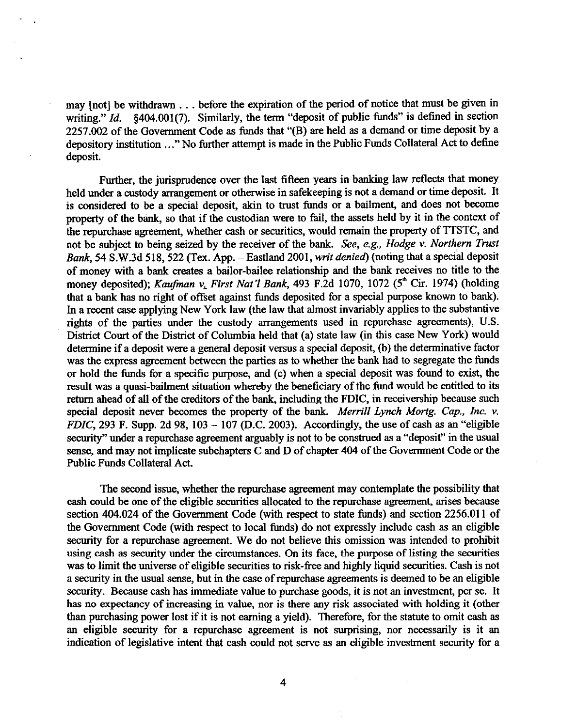may [not] be withdrawn . . . before the expiration of the period of notice that must be given in writing." *Id.* §404.001(7). Similarly, the term "deposit of public funds" is defined in section 2257.002 of the Government Code as funds that "(B) are held as a demand or time deposit by a depository institution ..." No further attempt is made in the Public Funds Collateral Act to define deposit.

Further, the jurisprudence over the last fifteen years in banking law reflects that money held under a custody arrangement or otherwise in safekeeping is not a demand or time deposit. It is considered to be a special deposit, akin to trust funds or a bailment, and does not become property of the bank, so that if the custodian were to fail, the assets held by it in the context of the repurchase agreement, whether cash or securities, would remain the property of TTSTC, and not be subject to being seized by the receiver of the bank. See, e.g., *Hodge v. Northern Trust*  BanR, 54 S.W.3d 518,522 (Tex. App. - Eastlaud 2001, *writ denied)* (noting that a special deposit of money with a bank creates a bailor-bailee relationship and the bank receives no title to the money deposited); *Kaufman v, First Nat'1 Bank, 493* F.2d 1070, 1072 (5\* Cir. 1974) (holding that a bank has no right of offset against funds deposited for a special purpose known to bank). In a recent case applying New York law (the law that almost invariably applies to the substantive rights of the parties under the custody arrangements used in repurchase agreements), U.S. District Court of the District of Columbia held that (a) state law (in this case New York) would determine if a deposit were a general deposit versus a special deposit, (b) the determinative factor was the express agreement between the parties as to whether the bank had to segregate the tunds or hold the funds for a specific purpose, and (c) when a special deposit was found to exist, the result was a quasi-bailment situation whereby the beneficiary of the fund would be entitled to its return ahead of all of the creditors of the bank, including the FDIC, in receivership because such special deposit never becomes the property of the bank. Merrill *Lynch Mortg. Cap., Inc. v. FDIC*, 293 F. Supp. 2d 98, 103 – 107 (D.C. 2003). Accordingly, the use of cash as an "eligible security" under a repurchase agreement arguably is not to be construed as a "deposit" in the usual sense, and may not implicate subchapters C and D of chapter 404 of the Government Code or the Public Funds Collateral Act.

The second issue, whether the repurchase agreement may contemplate the possibility that cash could be one of the eligible securities allocated to the repurchase agreement, arises because section 404.024 of the Government Code (with respect to state funds) and section 2256.011 of the Government Code (with respect to local funds) do not expressly include cash as au eligible security for a repurchase agreement. We do not believe this omission was intended to prohibit using cash as security under the circumstances. On its face, the purpose of listing the securities was to limit the universe of eligible securities to risk-free and highly liquid securities. Cash is not a security in the usual sense, but in the case of repurchase agreements is deemed to be an eligible security. Because cash has immediate value to purchase goods, it is not an investment, per se. It has no expectancy of increasing in value, nor is there any risk associated with holding it (other than purchasing power lost if it is not earning a yield). Therefore, for the statute to omit cash as an eligible security for a repurchase agreement is not surprising, nor necessarily is it an indication of legislative intent that cash could not serve as an eligible investment security for a